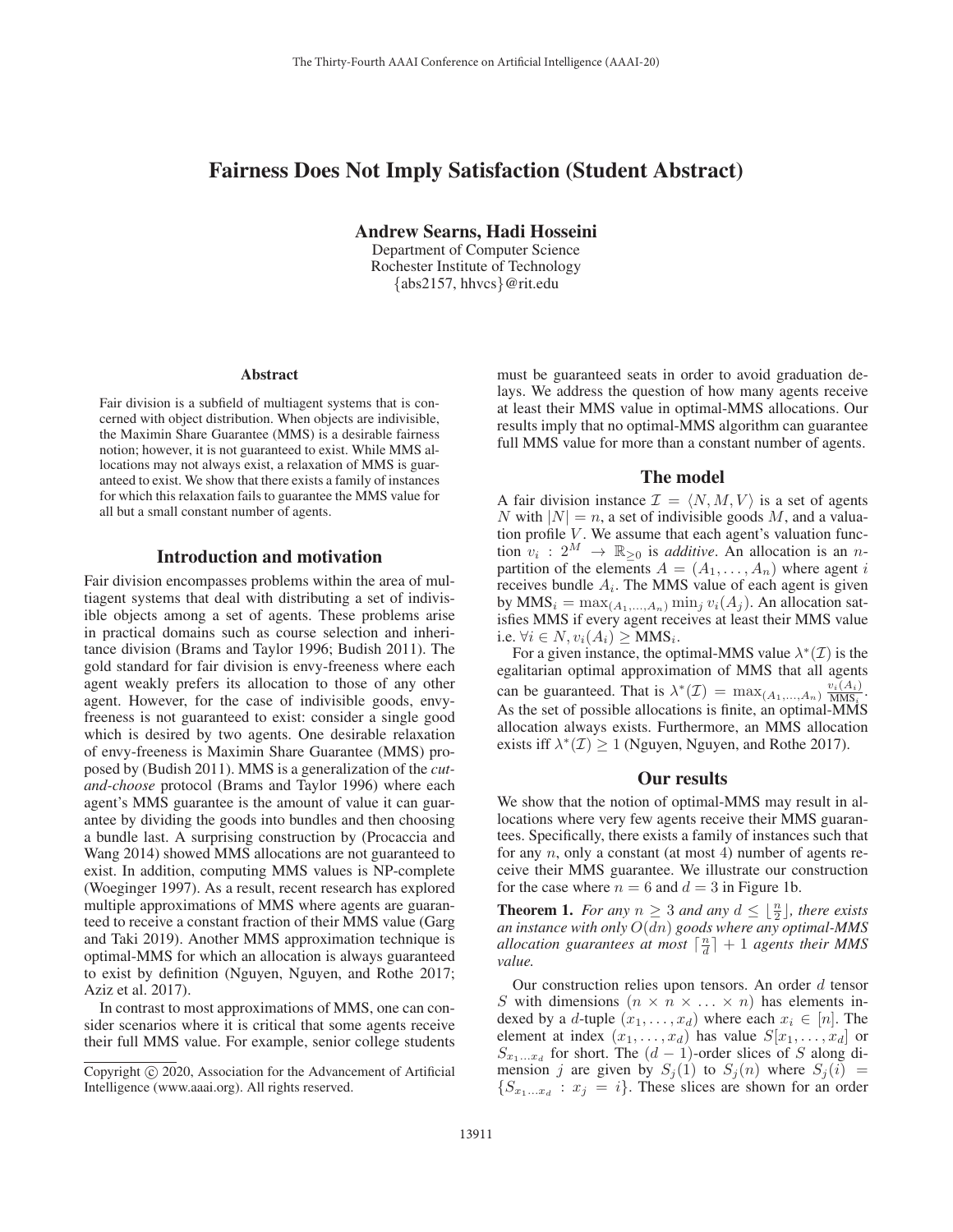# Fairness Does Not Imply Satisfaction (Student Abstract)

Andrew Searns, Hadi Hosseini

Department of Computer Science Rochester Institute of Technology {abs2157, hhvcs}@rit.edu

#### Abstract

Fair division is a subfield of multiagent systems that is concerned with object distribution. When objects are indivisible, the Maximin Share Guarantee (MMS) is a desirable fairness notion; however, it is not guaranteed to exist. While MMS allocations may not always exist, a relaxation of MMS is guaranteed to exist. We show that there exists a family of instances for which this relaxation fails to guarantee the MMS value for all but a small constant number of agents.

### Introduction and motivation

Fair division encompasses problems within the area of multiagent systems that deal with distributing a set of indivisible objects among a set of agents. These problems arise in practical domains such as course selection and inheritance division (Brams and Taylor 1996; Budish 2011). The gold standard for fair division is envy-freeness where each agent weakly prefers its allocation to those of any other agent. However, for the case of indivisible goods, envyfreeness is not guaranteed to exist: consider a single good which is desired by two agents. One desirable relaxation of envy-freeness is Maximin Share Guarantee (MMS) proposed by (Budish 2011). MMS is a generalization of the *cutand-choose* protocol (Brams and Taylor 1996) where each agent's MMS guarantee is the amount of value it can guarantee by dividing the goods into bundles and then choosing a bundle last. A surprising construction by (Procaccia and Wang 2014) showed MMS allocations are not guaranteed to exist. In addition, computing MMS values is NP-complete (Woeginger 1997). As a result, recent research has explored multiple approximations of MMS where agents are guaranteed to receive a constant fraction of their MMS value (Garg and Taki 2019). Another MMS approximation technique is optimal-MMS for which an allocation is always guaranteed to exist by definition (Nguyen, Nguyen, and Rothe 2017; Aziz et al. 2017).

In contrast to most approximations of MMS, one can consider scenarios where it is critical that some agents receive their full MMS value. For example, senior college students

must be guaranteed seats in order to avoid graduation delays. We address the question of how many agents receive at least their MMS value in optimal-MMS allocations. Our results imply that no optimal-MMS algorithm can guarantee full MMS value for more than a constant number of agents.

## The model

A fair division instance  $\mathcal{I} = \langle N, M, V \rangle$  is a set of agents N with  $|N| = n$ , a set of indivisible goods M, and a valuation profile  $V$ . We assume that each agent's valuation function  $v_i$  :  $2^M \rightarrow \mathbb{R}_{\geq 0}$  is *additive*. An allocation is an *n*partition of the elements  $A = (A_1, \ldots, A_n)$  where agent i receives bundle  $A_i$ . The MMS value of each agent is given by  $MMS_i = \max_{(A_1,...,A_n)} \min_j v_i(A_j)$ . An allocation satisfies MMS if every agent receives at least their MMS value i.e.  $\forall i \in N, v_i(A_i) \geq \text{MMS}_i$ .

For a given instance, the optimal-MMS value  $\lambda^*(\mathcal{I})$  is the egalitarian optimal approximation of MMS that all agents can be guaranteed. That is  $\lambda^*(\mathcal{I}) = \max_{(A_1,...,A_n)} \frac{v_i(A_i)}{\text{MMS}_i}$ . As the set of possible allocations is finite, an optimal-MMS allocation always exists. Furthermore, an MMS allocation exists iff  $\lambda^*(\mathcal{I}) \geq 1$  (Nguyen, Nguyen, and Rothe 2017).

#### Our results

We show that the notion of optimal-MMS may result in allocations where very few agents receive their MMS guarantees. Specifically, there exists a family of instances such that for any  $n$ , only a constant (at most 4) number of agents receive their MMS guarantee. We illustrate our construction for the case where  $n = 6$  and  $d = 3$  in Figure 1b.

**Theorem 1.** For any  $n \geq 3$  and any  $d \leq \lfloor \frac{n}{2} \rfloor$ , there exists *an instance with only* O(dn) *goods where any optimal-MMS allocation guarantees at most*  $\lceil \frac{n}{d} \rceil + 1$  *agents their MMS value.*

Our construction relies upon tensors. An order  $d$  tensor S with dimensions  $(n \times n \times ... \times n)$  has elements indexed by a d-tuple  $(x_1, \ldots, x_d)$  where each  $x_i \in [n]$ . The element at index  $(x_1, \ldots, x_d)$  has value  $S[x_1, \ldots, x_d]$  or  $S_{x_1...x_d}$  for short. The  $(d-1)$ -order slices of S along dimension j are given by  $S_i(1)$  to  $S_i(n)$  where  $S_i(i)$  =  $\{S_{x_1...x_d}: x_i = i\}$ . These slices are shown for an order

Copyright  $\odot$  2020, Association for the Advancement of Artificial Intelligence (www.aaai.org). All rights reserved.